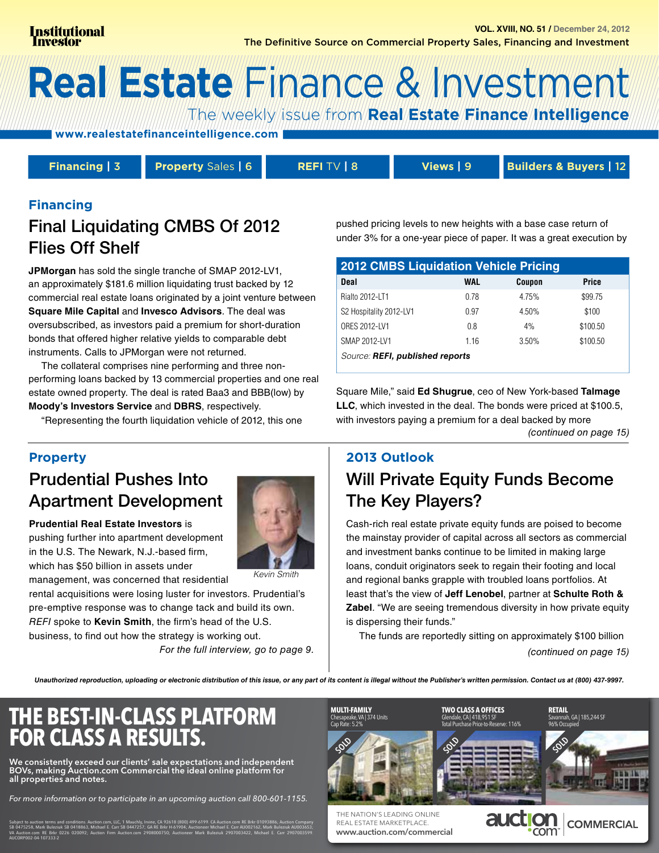# **Real Estate Finance & Investment**

The weekly issue from Real Estate Finance Intelligence

www.realestatefinanceintelligence.com

Financing  $|3$ 

**Property Sales | 6** 

REFITV | 8

Views | 9

**Builders & Buyers | 12** 

#### **Financing**

## **Final Liquidating CMBS Of 2012 Flies Off Shelf**

JPMorgan has sold the single tranche of SMAP 2012-LV1, an approximately \$181.6 million liquidating trust backed by 12 commercial real estate loans originated by a joint venture between Square Mile Capital and Invesco Advisors. The deal was oversubscribed, as investors paid a premium for short-duration bonds that offered higher relative yields to comparable debt instruments. Calls to JPMorgan were not returned.

The collateral comprises nine performing and three nonperforming loans backed by 13 commercial properties and one real estate owned property. The deal is rated Baa3 and BBB(low) by Moody's Investors Service and DBRS, respectively.

"Representing the fourth liquidation vehicle of 2012, this one

**Property** 

## **Prudential Pushes Into Apartment Development**

**Prudential Real Estate Investors is** pushing further into apartment development in the U.S. The Newark, N.J.-based firm, which has \$50 billion in assets under management, was concerned that residential



**Kevin Smith** 

rental acquisitions were losing luster for investors. Prudential's pre-emptive response was to change tack and build its own. REFI spoke to Kevin Smith, the firm's head of the U.S. business, to find out how the strategy is working out.

For the full interview, go to page 9.

#### pushed pricing levels to new heights with a base case return of under 3% for a one-year piece of paper. It was a great execution by

| <b>2012 CMBS Liquidation Vehicle Pricing</b> |      |        |          |  |  |  |
|----------------------------------------------|------|--------|----------|--|--|--|
| Deal                                         | WAL  | Coupon | Price    |  |  |  |
| Rialto 2012-LT1                              | 0.78 | 4.75%  | \$99.75  |  |  |  |
| S2 Hospitality 2012-LV1                      | 0.97 | 4.50%  | \$100    |  |  |  |
| ORES 2012-LV1                                | 0.8  | 4%     | \$100.50 |  |  |  |
| SMAP 2012-LV1                                | 116  | 3.50%  | \$100.50 |  |  |  |
| Source: REFI, published reports              |      |        |          |  |  |  |

Square Mile," said Ed Shugrue, ceo of New York-based Talmage **LLC**, which invested in the deal. The bonds were priced at \$100.5, with investors paying a premium for a deal backed by more

(continued on page 15)

## 2013 Outlook **Will Private Equity Funds Become** The Key Players?

Cash-rich real estate private equity funds are poised to become the mainstay provider of capital across all sectors as commercial and investment banks continue to be limited in making large loans, conduit originators seek to regain their footing and local and regional banks grapple with troubled loans portfolios. At least that's the view of Jeff Lenobel, partner at Schulte Roth & **Zabel.** "We are seeing tremendous diversity in how private equity is dispersing their funds."

The funds are reportedly sitting on approximately \$100 billion (continued on page 15)

Unauthorized reproduction, uploading or electronic distribution of this issue, or any part of its content is illegal without the Publisher's written permission. Contact us at (800) 437-9997.



We consistently exceed our clients' sale expectations and independent<br>BOVs, making Auction.com Commercial the ideal online platform for all properties and notes.

For more information or to participate in an upcoming auction call 800-601-1155.



THE NATION'S LEADING ONLINE REAL ESTATE MARKETPLACE www.auction.com/commercial

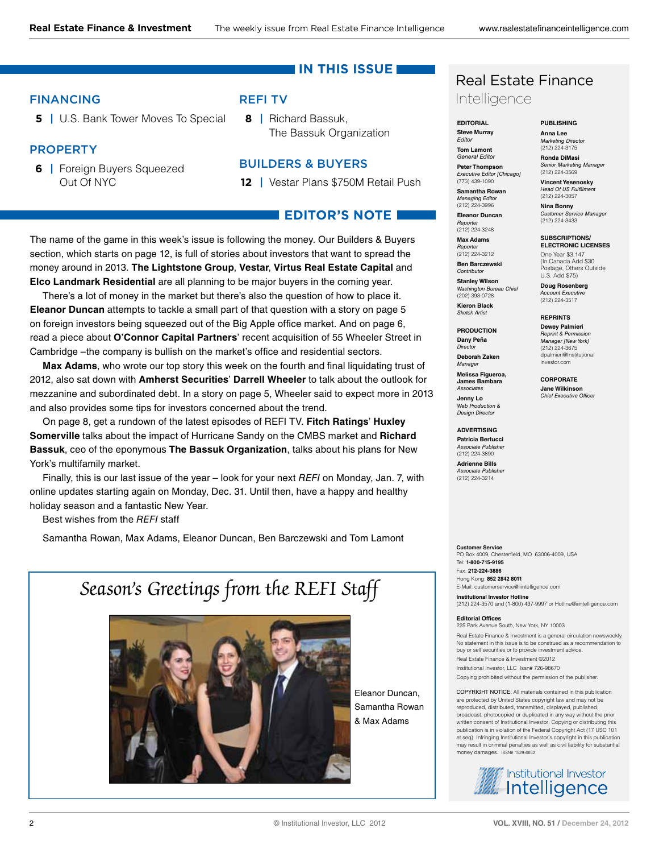#### **IN THIS ISSUE**

#### FINANCING

**5 |** [U.S. Bank Tower Moves To Special](#page-4-0)

#### **PROPERTY**

**6 |** [Foreign Buyers Squeezed](#page-5-0)  Out Of NYC

#### REFI TV

**8 |** Richard Bassuk, [The Bassuk Organization](#page-7-0)

#### BUILDERS & BUYERS

**12 |** [Vestar Plans \\$750M Retail Push](#page-11-0)

### **EDITOR'S NOTE**

The name of the game in this week's issue is following the money. Our Builders & Buyers section, which starts on page 12, is full of stories about investors that want to spread the money around in 2013. **The Lightstone Group**, **Vestar**, **Virtus Real Estate Capital** and **Elco Landmark Residential** are all planning to be major buyers in the coming year.

There's a lot of money in the market but there's also the question of how to place it. **Eleanor Duncan** attempts to tackle a small part of that question with a story on page 5 on foreign investors being squeezed out of the Big Apple office market. And on page 6, read a piece about **O'Connor Capital Partners**' recent acquisition of 55 Wheeler Street in Cambridge –the company is bullish on the market's office and residential sectors.

Max Adams, who wrote our top story this week on the fourth and final liquidating trust of 2012, also sat down with **Amherst Securities**' **Darrell Wheeler** to talk about the outlook for mezzanine and subordinated debt[. In a story on page 5,](#page-4-0) Wheeler said to expect more in 2013 and also provides some tips for investors concerned about the trend.

On page 8, get a rundown of the latest episodes of REFI TV. **Fitch Ratings**' **Huxley Somerville** talks about the impact of Hurricane Sandy on the CMBS market and **Richard Bassuk**, ceo of the eponymous **The Bassuk Organization**, talks about his plans for New York's multifamily market.

Finally, this is our last issue of the year – look for your next REFI on Monday, Jan. 7, with online updates starting again on Monday, Dec. 31. Until then, have a happy and healthy holiday season and a fantastic New Year.

Best wishes from the REFI staff

Samantha Rowan, Max Adams, Eleanor Duncan, Ben Barczewski and Tom Lamont

## Season's Greetings from the REFI Staff



Eleanor Duncan, Samantha Rowan & Max Adams

### Real Estate Finance Intelligence

**EDITORIAL Steve Murray** Editor **Tom Lamont**

General Editor

**Anna Lee** Marketing Director (212) 224-3175

**PUBLISHING**

**Peter Thompson** Executive Editor [Chicago] **Ronda DiMasi** Senior Marketing Manager (212) 224-3569 **Vincent Yesenosky**

(773) 439-1090 **Samantha Rowan** Managing Editor (212) 224-3996 Head Of US Fulfilme (212) 224-3057 **Nina Bonny**

**Eleanor Duncan** Reporte (212) 224-3248

**Max Adams Reporter**<br>(212) 224-3212 **Ben Barczewski** Contributor

**SUBSCRIPTIONS/ ELECTRONIC LICENSES**

Customer Service Manager (212) 224-3433

One Year \$3,147 (In Canada Add \$30 Postage, Others Outside U.S. Add \$75)

**Doug Rosenberg** Account Executive (212) 224-3517 **REPRINTS Dewey Palmieri** Reprint & Permission Manager [New York] (212) 224-3675 dpalmieri@Institutional investor.com **CORPORATE Jane Wilkinson** Chief Executive Officer

**Stanley Wilson** Washington Bureau Chief (202) 393-0728 **Kieron Black** Sketch Artist

**PRODUCTION Dany Peña** Director **Deborah Zaken**

lanage **Melissa Figueroa, James Bambara** Associates

**Jenny Lo** Web Production & Design Director

**ADVERTISING Patricia Bertucci** Associate Publisher (212) 224-3890

**Adrienne Bills Associate Publisher**<br>(212) 224-3214

**Customer Service** PO Box 4009, Chesterfield, MO 63006-4009, USA Tel: **1-800-715-9195** Fax: **212-224-3886** Hong Kong: **852 2842 8011**

E-Mail: customerservice@iiintelligence.com **Institutional Investor Hotline** (212) 224-3570 and (1-800) 437-9997 or Hotline@iiintelligence.com

#### **Editorial Offices**

225 Park Avenue South, New York, NY 10003

Real Estate Finance & Investment is a general circulation newsweekly. No statement in this issue is to be construed as a recommendation to buy or sell securities or to provide investment advice.

Real Estate Finance & Investment ©2012 Institutional Investor, LLC Issn# 726-98670 Copying prohibited without the permission of the publisher.

COPYRIGHT NOTICE: All materials contained in this publication are protected by United States copyright law and may not be reproduced, distributed, transmitted, displayed, published, broadcast, photocopied or duplicated in any way without the prior written consent of Institutional Investor. Copying or distributing this publication is in violation of the Federal Copyright Act (17 USC 101 et seq). Infringing Institutional Investor's copyright in this publication may result in criminal penalties as well as civil liability for substantial money damages. ISSN# 1529-6652

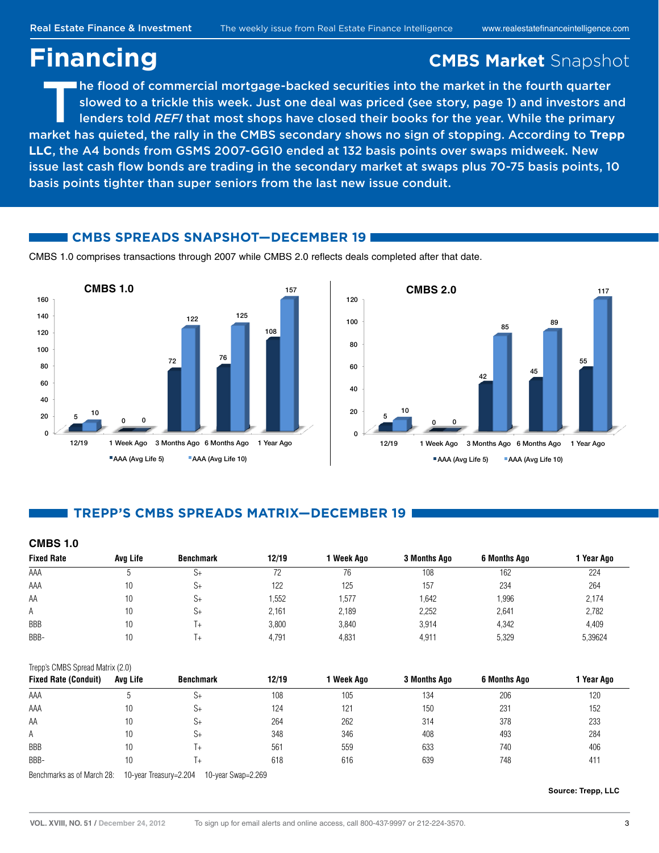## <span id="page-2-0"></span>**Financing CMBS Market** Snapshot

The flood of commercial mortgage-backed securities into the market in the fourth quarter<br>slowed to a trickle this week. Just one deal was priced (see story, page 1) and investors an<br>lenders told *REFI* that most shops have slowed to a trickle this week. Just one deal was priced (see story, page 1) and investors and market has quieted, the rally in the CMBS secondary shows no sign of stopping. According to **Trepp LLC**, the A4 bonds from GSMS 2007-GG10 ended at 132 basis points over swaps midweek. New issue last cash flow bonds are trading in the secondary market at swaps plus 70-75 basis points, 10 basis points tighter than super seniors from the last new issue conduit.

#### **CMBS SPREADS SNAPSHOT—DECEMBER 19**

CMBS 1.0 comprises transactions through 2007 while CMBS 2.0 reflects deals completed after that date.





#### **TREPP'S CMBS SPREADS MATRIX—DECEMBER 19**

| <b>CMBS 1.0</b>                  |          |                  |       |            |              |                     |            |
|----------------------------------|----------|------------------|-------|------------|--------------|---------------------|------------|
| <b>Fixed Rate</b>                | Avg Life | <b>Benchmark</b> | 12/19 | 1 Week Ago | 3 Months Ago | <b>6 Months Ago</b> | 1 Year Ago |
| AAA                              | 5        | $S+$             | 72    | 76         | 108          | 162                 | 224        |
| AAA                              | 10       | $S+$             | 122   | 125        | 157          | 234                 | 264        |
| AA                               | 10       | $S+$             | 1,552 | 1,577      | 1,642        | 1,996               | 2,174      |
| Α                                | 10       | $S+$             | 2,161 | 2,189      | 2,252        | 2,641               | 2,782      |
| <b>BBB</b>                       | 10       | T+               | 3,800 | 3,840      | 3,914        | 4,342               | 4,409      |
| BBB-                             | 10       | T+               | 4,791 | 4,831      | 4,911        | 5,329               | 5,39624    |
| Trepp's CMBS Spread Matrix (2.0) |          |                  |       |            |              |                     |            |
| <b>Fixed Rate (Conduit)</b>      | Avg Life | <b>Benchmark</b> | 12/19 | 1 Week Ago | 3 Months Ago | <b>6 Months Ago</b> | 1 Year Ago |
| AAA                              | 5        | $S+$             | 108   | 105        | 134          | 206                 | 120        |
| AAA                              | 10       | $S+$             | 124   | 121        | 150          | 231                 | 152        |
| AA                               | 10       | $S+$             | 264   | 262        | 314          | 378                 | 233        |
| Α                                | 10       | $S+$             | 348   | 346        | 408          | 493                 | 284        |
| <b>BBB</b>                       | 10       | T+               | 561   | 559        | 633          | 740                 | 406        |

BBB- 10 T+ 618 616 639 748 411

Benchmarks as of March 28: 10-year Treasury=2.204 10-year Swap=2.269

**Source: Trepp, LLC**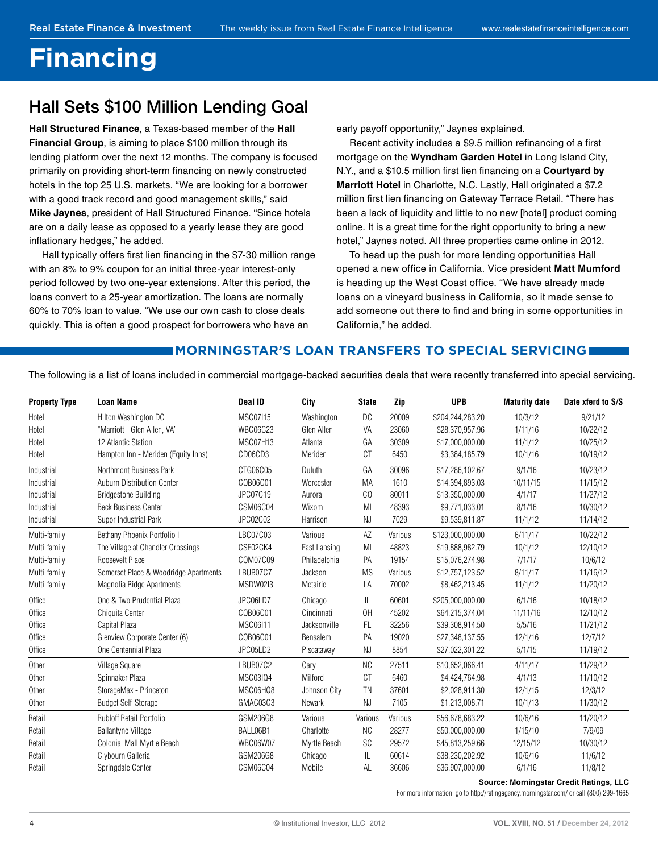## **Financing**

## Hall Sets \$100 Million Lending Goal

**Hall Structured Finance**, a Texas-based member of the **Hall Financial Group**, is aiming to place \$100 million through its lending platform over the next 12 months. The company is focused primarily on providing short-term financing on newly constructed hotels in the top 25 U.S. markets. "We are looking for a borrower with a good track record and good management skills," said **Mike Jaynes**, president of Hall Structured Finance. "Since hotels are on a daily lease as opposed to a yearly lease they are good inflationary hedges," he added.

Hall typically offers first lien financing in the \$7-30 million range with an 8% to 9% coupon for an initial three-year interest-only period followed by two one-year extensions. After this period, the loans convert to a 25-year amortization. The loans are normally 60% to 70% loan to value. "We use our own cash to close deals quickly. This is often a good prospect for borrowers who have an

early payoff opportunity," Jaynes explained.

Recent activity includes a \$9.5 million refinancing of a first mortgage on the **Wyndham Garden Hotel** in Long Island City, N.Y., and a \$10.5 million first lien financing on a **Courtyard by Marriott Hotel** in Charlotte, N.C. Lastly, Hall originated a \$7.2 million first lien financing on Gateway Terrace Retail. "There has been a lack of liquidity and little to no new [hotel] product coming online. It is a great time for the right opportunity to bring a new hotel," Jaynes noted. All three properties came online in 2012.

To head up the push for more lending opportunities Hall opened a new office in California. Vice president **Matt Mumford** is heading up the West Coast office. "We have already made loans on a vineyard business in California, so it made sense to add someone out there to find and bring in some opportunities in California," he added.

#### **MORNINGSTAR'S LOAN TRANSFERS TO SPECIAL SERVICING**

The following is a list of loans included in commercial mortgage-backed securities deals that were recently transferred into special servicing.

| <b>Property Type</b> | <b>Loan Name</b>                      | Deal ID         | City          | <b>State</b> | Zip     | <b>UPB</b>       | <b>Maturity date</b> | Date xferd to S/S |
|----------------------|---------------------------------------|-----------------|---------------|--------------|---------|------------------|----------------------|-------------------|
| Hotel                | Hilton Washington DC                  | <b>MSC07115</b> | Washington    | DC           | 20009   | \$204,244,283.20 | 10/3/12              | 9/21/12           |
| Hotel                | "Marriott - Glen Allen, VA"           | <b>WBC06C23</b> | Glen Allen    | VA           | 23060   | \$28,370,957.96  | 1/11/16              | 10/22/12          |
| Hotel                | 12 Atlantic Station                   | MSC07H13        | Atlanta       | GA           | 30309   | \$17,000,000.00  | 11/1/12              | 10/25/12          |
| Hotel                | Hampton Inn - Meriden (Equity Inns)   | CD06CD3         | Meriden       | CT           | 6450    | \$3,384,185.79   | 10/1/16              | 10/19/12          |
| Industrial           | Northmont Business Park               | CTG06C05        | <b>Duluth</b> | GA           | 30096   | \$17,286,102.67  | 9/1/16               | 10/23/12          |
| Industrial           | Auburn Distribution Center            | C0B06C01        | Worcester     | MA           | 1610    | \$14,394,893.03  | 10/11/15             | 11/15/12          |
| Industrial           | <b>Bridgestone Building</b>           | JPC07C19        | Aurora        | CO           | 80011   | \$13,350,000.00  | 4/1/17               | 11/27/12          |
| Industrial           | <b>Beck Business Center</b>           | CSM06C04        | Wixom         | MI           | 48393   | \$9,771,033.01   | 8/1/16               | 10/30/12          |
| Industrial           | Supor Industrial Park                 | JPC02C02        | Harrison      | NJ           | 7029    | \$9,539,811.87   | 11/1/12              | 11/14/12          |
| Multi-family         | Bethany Phoenix Portfolio I           | LBC07C03        | Various       | AZ           | Various | \$123,000,000.00 | 6/11/17              | 10/22/12          |
| Multi-family         | The Village at Chandler Crossings     | CSF02CK4        | East Lansing  | MI           | 48823   | \$19,888,982.79  | 10/1/12              | 12/10/12          |
| Multi-family         | Roosevelt Place                       | COM07C09        | Philadelphia  | PA           | 19154   | \$15,076,274.98  | 7/1/17               | 10/6/12           |
| Multi-family         | Somerset Place & Woodridge Apartments | LBUB07C7        | Jackson       | <b>MS</b>    | Various | \$12,757,123.52  | 8/11/17              | 11/16/12          |
| Multi-family         | Magnolia Ridge Apartments             | MSDW02I3        | Metairie      | LA           | 70002   | \$8,462,213.45   | 11/1/12              | 11/20/12          |
| Office               | One & Two Prudential Plaza            | JPC06LD7        | Chicago       | IL.          | 60601   | \$205,000,000.00 | 6/1/16               | 10/18/12          |
| Office               | Chiquita Center                       | C0B06C01        | Cincinnati    | 0H           | 45202   | \$64,215,374.04  | 11/11/16             | 12/10/12          |
| Office               | Capital Plaza                         | <b>MSC06I11</b> | Jacksonville  | FL           | 32256   | \$39,308,914.50  | 5/5/16               | 11/21/12          |
| Office               | Glenview Corporate Center (6)         | C0B06C01        | Bensalem      | <b>PA</b>    | 19020   | \$27,348,137.55  | 12/1/16              | 12/7/12           |
| Office               | One Centennial Plaza                  | JPC05LD2        | Piscataway    | NJ           | 8854    | \$27,022,301.22  | 5/1/15               | 11/19/12          |
| Other                | Village Square                        | LBUB07C2        | Cary          | <b>NC</b>    | 27511   | \$10.652.066.41  | 4/11/17              | 11/29/12          |
| Other                | Spinnaker Plaza                       | MSC03IQ4        | Milford       | CT           | 6460    | \$4,424,764.98   | 4/1/13               | 11/10/12          |
| Other                | StorageMax - Princeton                | MSC06HQ8        | Johnson City  | <b>TN</b>    | 37601   | \$2,028,911.30   | 12/1/15              | 12/3/12           |
| Other                | <b>Budget Self-Storage</b>            | GMAC03C3        | Newark        | NJ           | 7105    | \$1,213,008.71   | 10/1/13              | 11/30/12          |
| Retail               | <b>Rubloff Retail Portfolio</b>       | GSM206G8        | Various       | Various      | Various | \$56,678,683.22  | 10/6/16              | 11/20/12          |
| Retail               | <b>Ballantyne Village</b>             | BALL06B1        | Charlotte     | <b>NC</b>    | 28277   | \$50,000,000.00  | 1/15/10              | 7/9/09            |
| Retail               | Colonial Mall Myrtle Beach            | <b>WBC06W07</b> | Myrtle Beach  | <b>SC</b>    | 29572   | \$45,813,259.66  | 12/15/12             | 10/30/12          |
| Retail               | Clybourn Galleria                     | GSM206G8        | Chicago       | IL           | 60614   | \$38,230,202.92  | 10/6/16              | 11/6/12           |
| Retail               | Springdale Center                     | CSM06C04        | Mobile        | AL           | 36606   | \$36,907,000.00  | 6/1/16               | 11/8/12           |

#### **Source: Morningstar Credit Ratings, LLC**

For more information, go to http://ratingagency.morningstar.com/ or call (800) 299-1665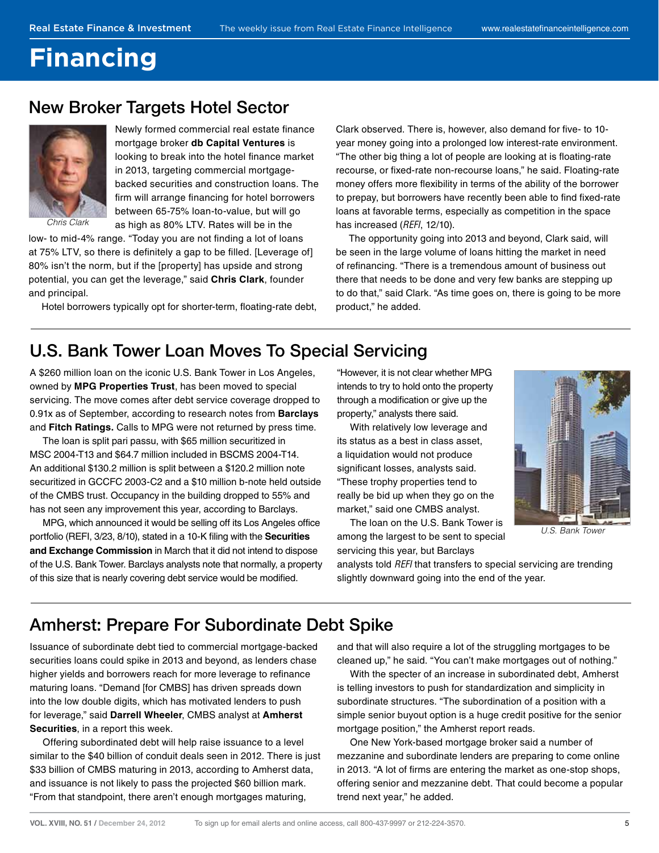## <span id="page-4-0"></span>**Financing**

### New Broker Targets Hotel Sector



Newly formed commercial real estate finance mortgage broker **db Capital Ventures** is looking to break into the hotel finance market in 2013, targeting commercial mortgagebacked securities and construction loans. The firm will arrange financing for hotel borrowers between 65-75% loan-to-value, but will go as high as 80% LTV. Rates will be in the

Chris Clark

low- to mid-4% range. "Today you are not finding a lot of loans at 75% LTV, so there is definitely a gap to be filled. [Leverage of] 80% isn't the norm, but if the [property] has upside and strong potential, you can get the leverage," said **Chris Clark**, founder and principal.

Hotel borrowers typically opt for shorter-term, floating-rate debt,

Clark observed. There is, however, also demand for five- to 10year money going into a prolonged low interest-rate environment. "The other big thing a lot of people are looking at is floating-rate recourse, or fixed-rate non-recourse loans," he said. Floating-rate money offers more flexibility in terms of the ability of the borrower to prepay, but borrowers have recently been able to find fixed-rate loans at favorable terms, especially as competition in the space has increased (REFI, 12/10).

The opportunity going into 2013 and beyond, Clark said, will be seen in the large volume of loans hitting the market in need of refinancing. "There is a tremendous amount of business out there that needs to be done and very few banks are stepping up to do that," said Clark. "As time goes on, there is going to be more product," he added.

### U.S. Bank Tower Loan Moves To Special Servicing

A \$260 million loan on the iconic U.S. Bank Tower in Los Angeles, owned by **MPG Properties Trust**, has been moved to special servicing. The move comes after debt service coverage dropped to 0.91x as of September, according to research notes from **Barclays**  and **Fitch Ratings.** Calls to MPG were not returned by press time.

The loan is split pari passu, with \$65 million securitized in MSC 2004-T13 and \$64.7 million included in BSCMS 2004-T14. An additional \$130.2 million is split between a \$120.2 million note securitized in GCCFC 2003-C2 and a \$10 million b-note held outside of the CMBS trust. Occupancy in the building dropped to 55% and has not seen any improvement this year, according to Barclays.

MPG, which announced it would be selling off its Los Angeles office portfolio (REFI, 3/23, 8/10), stated in a 10-K filing with the **Securities and Exchange Commission** in March that it did not intend to dispose of the U.S. Bank Tower. Barclays analysts note that normally, a property of this size that is nearly covering debt service would be modified.

"However, it is not clear whether MPG intends to try to hold onto the property through a modification or give up the property," analysts there said.

With relatively low leverage and its status as a best in class asset, a liquidation would not produce significant losses, analysts said. "These trophy properties tend to really be bid up when they go on the market," said one CMBS analyst.

The loan on the U.S. Bank Tower is among the largest to be sent to special servicing this year, but Barclays



U.S. Bank Tower

analysts told REFI that transfers to special servicing are trending slightly downward going into the end of the year.

## Amherst: Prepare For Subordinate Debt Spike

Issuance of subordinate debt tied to commercial mortgage-backed securities loans could spike in 2013 and beyond, as lenders chase higher yields and borrowers reach for more leverage to refinance maturing loans. "Demand [for CMBS] has driven spreads down into the low double digits, which has motivated lenders to push for leverage," said **Darrell Wheeler**, CMBS analyst at **Amherst Securities**, in a report this week.

Offering subordinated debt will help raise issuance to a level similar to the \$40 billion of conduit deals seen in 2012. There is just \$33 billion of CMBS maturing in 2013, according to Amherst data, and issuance is not likely to pass the projected \$60 billion mark. "From that standpoint, there aren't enough mortgages maturing,

and that will also require a lot of the struggling mortgages to be cleaned up," he said. "You can't make mortgages out of nothing."

With the specter of an increase in subordinated debt, Amherst is telling investors to push for standardization and simplicity in subordinate structures. "The subordination of a position with a simple senior buyout option is a huge credit positive for the senior mortgage position," the Amherst report reads.

One New York-based mortgage broker said a number of mezzanine and subordinate lenders are preparing to come online in 2013. "A lot of firms are entering the market as one-stop shops, offering senior and mezzanine debt. That could become a popular trend next year," he added.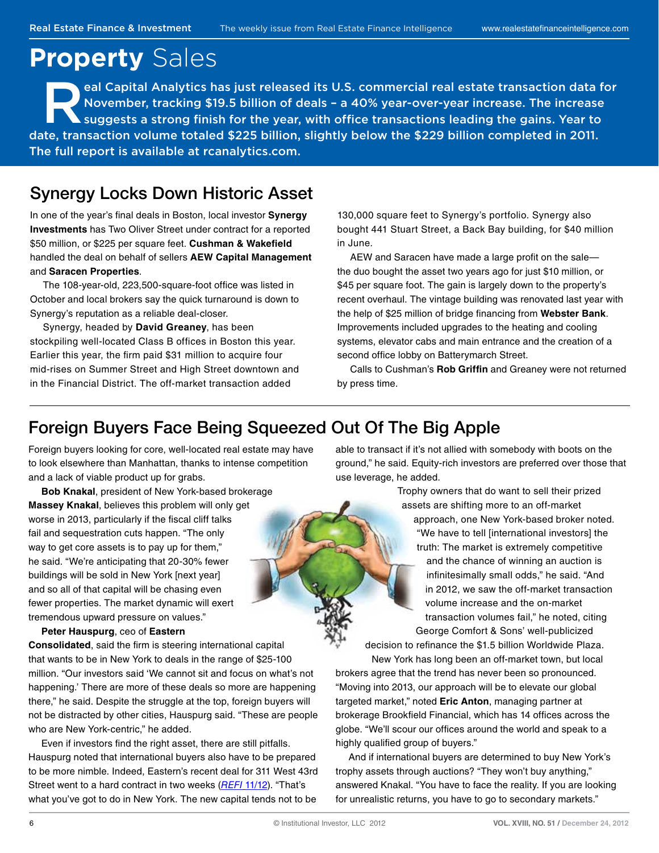## <span id="page-5-0"></span>**Property** Sales

eal Capital Analytics has just released its U.S. commercial real estate transaction data for<br>November, tracking \$19.5 billion of deals - a 40% year-over-year increase. The increase<br>suggests a strong finish for the year, wi November, tracking \$19.5 billion of deals – a 40% year-over-year increase. The increase suggests a strong finish for the year, with office transactions leading the gains. Year to date, transaction volume totaled \$225 billion, slightly below the \$229 billion completed in 2011. The full report is available at rcanalytics.com.

## Synergy Locks Down Historic Asset

In one of the year's final deals in Boston, local investor **Synergy Investments** has Two Oliver Street under contract for a reported \$50 million, or \$225 per square feet. Cushman & Wakefield handled the deal on behalf of sellers **AEW Capital Management**  and **Saracen Properties**.

The 108-year-old, 223,500-square-foot office was listed in October and local brokers say the quick turnaround is down to Synergy's reputation as a reliable deal-closer.

Synergy, headed by **David Greaney**, has been stockpiling well-located Class B offices in Boston this year. Earlier this year, the firm paid \$31 million to acquire four mid-rises on Summer Street and High Street downtown and in the Financial District. The off-market transaction added

130,000 square feet to Synergy's portfolio. Synergy also bought 441 Stuart Street, a Back Bay building, for \$40 million in June.

AEW and Saracen have made a large profit on the salethe duo bought the asset two years ago for just \$10 million, or \$45 per square foot. The gain is largely down to the property's recent overhaul. The vintage building was renovated last year with the help of \$25 million of bridge financing from Webster Bank. Improvements included upgrades to the heating and cooling systems, elevator cabs and main entrance and the creation of a second office lobby on Batterymarch Street.

Calls to Cushman's **Rob Griffin** and Greaney were not returned by press time.

## Foreign Buyers Face Being Squeezed Out Of The Big Apple

Foreign buyers looking for core, well-located real estate may have to look elsewhere than Manhattan, thanks to intense competition and a lack of viable product up for grabs.

**Bob Knakal**, president of New York-based brokerage **Massey Knakal**, believes this problem will only get worse in 2013, particularly if the fiscal cliff talks fail and sequestration cuts happen. "The only way to get core assets is to pay up for them," he said. "We're anticipating that 20-30% fewer buildings will be sold in New York [next year] and so all of that capital will be chasing even fewer properties. The market dynamic will exert tremendous upward pressure on values."

**Peter Hauspurg**, ceo of **Eastern** 

**Consolidated**, said the firm is steering international capital that wants to be in New York to deals in the range of \$25-100 million. "Our investors said 'We cannot sit and focus on what's not happening.' There are more of these deals so more are happening there," he said. Despite the struggle at the top, foreign buyers will not be distracted by other cities, Hauspurg said. "These are people who are New York-centric," he added.

Even if investors find the right asset, there are still pitfalls. Hauspurg noted that international buyers also have to be prepared to be more nimble. Indeed, Eastern's recent deal for 311 West 43rd Street went to a hard contract in two weeks (REFI [11/12\).](http://www.realestatefinanceintelligence.com/Article/3115747/Search/Times-Square-Office-Property-Goes-Under-Contract.html) "That's what you've got to do in New York. The new capital tends not to be

able to transact if it's not allied with somebody with boots on the ground," he said. Equity-rich investors are preferred over those that use leverage, he added.

> Trophy owners that do want to sell their prized assets are shifting more to an off-market approach, one New York-based broker noted. "We have to tell [international investors] the truth: The market is extremely competitive and the chance of winning an auction is infinitesimally small odds," he said. "And in 2012, we saw the off-market transaction volume increase and the on-market transaction volumes fail," he noted, citing George Comfort & Sons' well-publicized

decision to refinance the \$1.5 billion Worldwide Plaza. New York has long been an off-market town, but local

brokers agree that the trend has never been so pronounced. "Moving into 2013, our approach will be to elevate our global targeted market," noted **Eric Anton**, managing partner at brokerage Brookfield Financial, which has 14 offices across the globe. "We'll scour our offices around the world and speak to a highly qualified group of buyers."

And if international buyers are determined to buy New York's trophy assets through auctions? "They won't buy anything," answered Knakal. "You have to face the reality. If you are looking for unrealistic returns, you have to go to secondary markets."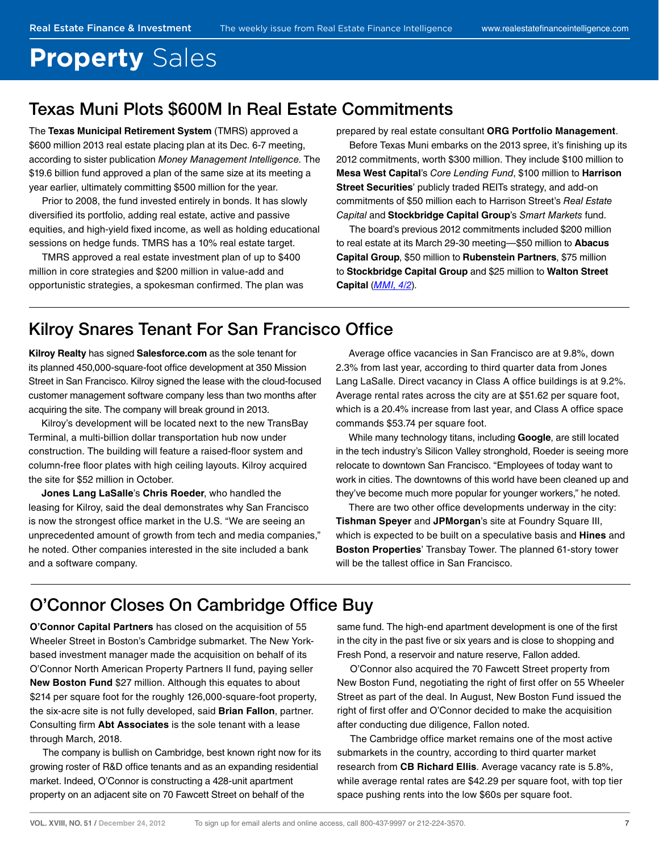# **Property** Sales

## Texas Muni Plots \$600M In Real Estate Commitments

The **Texas Municipal Retirement System** (TMRS) approved a \$600 million 2013 real estate placing plan at its Dec. 6-7 meeting, according to sister publication Money Management Intelligence. The \$19.6 billion fund approved a plan of the same size at its meeting a year earlier, ultimately committing \$500 million for the year.

Prior to 2008, the fund invested entirely in bonds. It has slowly diversified its portfolio, adding real estate, active and passive equities, and high-yield fixed income, as well as holding educational sessions on hedge funds. TMRS has a 10% real estate target.

TMRS approved a real estate investment plan of up to \$400 million in core strategies and \$200 million in value-add and opportunistic strategies, a spokesman confirmed. The plan was prepared by real estate consultant **ORG Portfolio Management**.

Before Texas Muni embarks on the 2013 spree, it's finishing up its 2012 commitments, worth \$300 million. They include \$100 million to **Mesa West Capital**'s Core Lending Fund, \$100 million to **Harrison Street Securities**' publicly traded REITs strategy, and add-on commitments of \$50 million each to Harrison Street's Real Estate Capital and **Stockbridge Capital Group**'s Smart Markets fund.

The board's previous 2012 commitments included \$200 million to real estate at its March 29-30 meeting—\$50 million to **Abacus Capital Group**, \$50 million to **Rubenstein Partners**, \$75 million to **Stockbridge Capital Group** and \$25 million to **Walton Street Capital** ([MMI, 4/2](http://www.moneymanagementintelligence.com/Article/3005834/Search/TMRS-Approves-780M-Equities-Shift.html)).

## Kilroy Snares Tenant For San Francisco Office

**Kilroy Realty** has signed **Salesforce.com** as the sole tenant for its planned 450,000-square-foot office development at 350 Mission Street in San Francisco. Kilroy signed the lease with the cloud-focused customer management software company less than two months after acquiring the site. The company will break ground in 2013.

Kilroy's development will be located next to the new TransBay Terminal, a multi-billion dollar transportation hub now under construction. The building will feature a raised-floor system and column-free floor plates with high ceiling layouts. Kilroy acquired the site for \$52 million in October.

**Jones Lang LaSalle**'s **Chris Roeder**, who handled the leasing for Kilroy, said the deal demonstrates why San Francisco is now the strongest office market in the U.S. "We are seeing an unprecedented amount of growth from tech and media companies," he noted. Other companies interested in the site included a bank and a software company.

Average office vacancies in San Francisco are at 9.8%, down 2.3% from last year, according to third quarter data from Jones Lang LaSalle. Direct vacancy in Class A office buildings is at 9.2%. Average rental rates across the city are at \$51.62 per square foot, which is a 20.4% increase from last year, and Class A office space commands \$53.74 per square foot.

While many technology titans, including **Google**, are still located in the tech industry's Silicon Valley stronghold, Roeder is seeing more relocate to downtown San Francisco. "Employees of today want to work in cities. The downtowns of this world have been cleaned up and they've become much more popular for younger workers," he noted.

There are two other office developments underway in the city: **Tishman Speyer** and **JPMorgan**'s site at Foundry Square III, which is expected to be built on a speculative basis and **Hines** and **Boston Properties**' Transbay Tower. The planned 61-story tower will be the tallest office in San Francisco.

## O'Connor Closes On Cambridge Office Buy

**O'Connor Capital Partners** has closed on the acquisition of 55 Wheeler Street in Boston's Cambridge submarket. The New Yorkbased investment manager made the acquisition on behalf of its O'Connor North American Property Partners II fund, paying seller **New Boston Fund** \$27 million. Although this equates to about \$214 per square foot for the roughly 126,000-square-foot property, the six-acre site is not fully developed, said **Brian Fallon**, partner. Consulting firm **Abt Associates** is the sole tenant with a lease through March, 2018.

The company is bullish on Cambridge, best known right now for its growing roster of R&D office tenants and as an expanding residential market. Indeed, O'Connor is constructing a 428-unit apartment property on an adjacent site on 70 Fawcett Street on behalf of the

same fund. The high-end apartment development is one of the first in the city in the past five or six years and is close to shopping and Fresh Pond, a reservoir and nature reserve, Fallon added.

O'Connor also acquired the 70 Fawcett Street property from New Boston Fund, negotiating the right of first offer on 55 Wheeler Street as part of the deal. In August, New Boston Fund issued the right of first offer and O'Connor decided to make the acquisition after conducting due diligence, Fallon noted.

The Cambridge office market remains one of the most active submarkets in the country, according to third quarter market research from **CB Richard Ellis**. Average vacancy rate is 5.8%, while average rental rates are \$42.29 per square foot, with top tier space pushing rents into the low \$60s per square foot.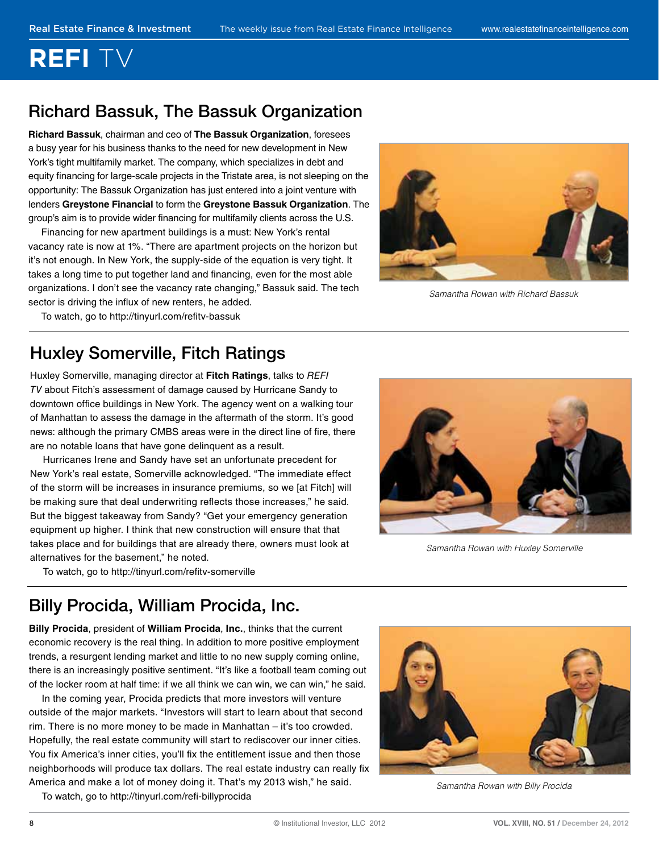# <span id="page-7-0"></span>**REFI**

## Richard Bassuk, The Bassuk Organization

**Richard Bassuk**, chairman and ceo of **The Bassuk Organization**, foresees a busy year for his business thanks to the need for new development in New York's tight multifamily market. The company, which specializes in debt and equity financing for large-scale projects in the Tristate area, is not sleeping on the opportunity: The Bassuk Organization has just entered into a joint venture with lenders **Greystone Financial** to form the **Greystone Bassuk Organization**. The group's aim is to provide wider financing for multifamily clients across the U.S.

Financing for new apartment buildings is a must: New York's rental vacancy rate is now at 1%. "There are apartment projects on the horizon but it's not enough. In New York, the supply-side of the equation is very tight. It takes a long time to put together land and financing, even for the most able organizations. I don't see the vacancy rate changing," Bassuk said. The tech sector is driving the influx of new renters, he added.



Samantha Rowan with Richard Bassuk

[To watch, go to http://tinyurl.com/re](http://tinyurl.com/refitv-bassuk)fitv-bassuk

## Huxley Somerville, Fitch Ratings

Huxley Somerville, managing director at **Fitch Ratings**, talks to REFI TV about Fitch's assessment of damage caused by Hurricane Sandy to downtown office buildings in New York. The agency went on a walking tour of Manhattan to assess the damage in the aftermath of the storm. It's good news: although the primary CMBS areas were in the direct line of fire, there are no notable loans that have gone delinquent as a result.

Hurricanes Irene and Sandy have set an unfortunate precedent for New York's real estate, Somerville acknowledged. "The immediate effect of the storm will be increases in insurance premiums, so we [at Fitch] will be making sure that deal underwriting reflects those increases," he said. But the biggest takeaway from Sandy? "Get your emergency generation equipment up higher. I think that new construction will ensure that that takes place and for buildings that are already there, owners must look at alternatives for the basement," he noted.

[To watch, go to http://tinyurl.com/re](http://tinyurl.com/refitv-somerville)fitv-somerville



Samantha Rowan with Huxley Somerville

## Billy Procida, William Procida, Inc.

**Billy Procida**, president of **William Procida**, **Inc.**, thinks that the current economic recovery is the real thing. In addition to more positive employment trends, a resurgent lending market and little to no new supply coming online, there is an increasingly positive sentiment. "It's like a football team coming out of the locker room at half time: if we all think we can win, we can win," he said.

In the coming year, Procida predicts that more investors will venture outside of the major markets. "Investors will start to learn about that second rim. There is no more money to be made in Manhattan – it's too crowded. Hopefully, the real estate community will start to rediscover our inner cities. You fix America's inner cities, you'll fix the entitlement issue and then those neighborhoods will produce tax dollars. The real estate industry can really fix America and make a lot of money doing it. That's my 2013 wish," he said.

[To watch, go to http://tinyurl.com/re](http://tinyurl.com/refi-billyprocida)fi-billyprocida



Samantha Rowan with Billy Procida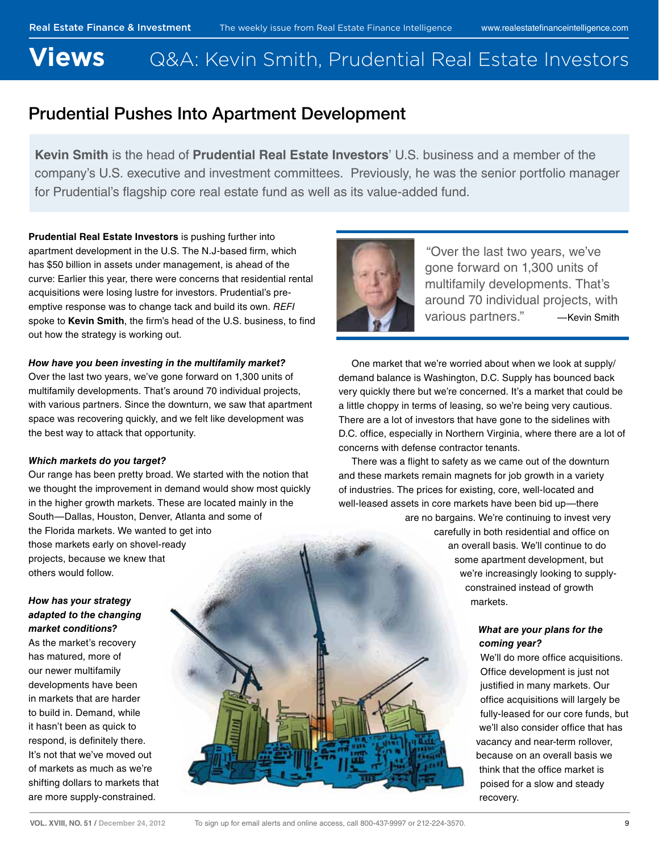## <span id="page-8-0"></span>**Views** Q&A: Kevin Smith, Prudential Real Estate Investors

## Prudential Pushes Into Apartment Development

**Kevin Smith** is the head of **Prudential Real Estate Investors**' U.S. business and a member of the company's U.S. executive and investment committees. Previously, he was the senior portfolio manager for Prudential's flagship core real estate fund as well as its value-added fund.

**Prudential Real Estate Investors** is pushing further into apartment development in the U.S. The N.J-based firm, which has \$50 billion in assets under management, is ahead of the curve: Earlier this year, there were concerns that residential rental acquisitions were losing lustre for investors. Prudential's preemptive response was to change tack and build its own. REFI spoke to Kevin Smith, the firm's head of the U.S. business, to find out how the strategy is working out.

#### **How have you been investing in the multifamily market?**

Over the last two years, we've gone forward on 1,300 units of multifamily developments. That's around 70 individual projects, with various partners. Since the downturn, we saw that apartment space was recovering quickly, and we felt like development was the best way to attack that opportunity.

#### **Which markets do you target?**

Our range has been pretty broad. We started with the notion that we thought the improvement in demand would show most quickly in the higher growth markets. These are located mainly in the South—Dallas, Houston, Denver, Atlanta and some of the Florida markets. We wanted to get into those markets early on shovel-ready projects, because we knew that others would follow.

#### **How has your strategy adapted to the changing market conditions?**

As the market's recovery has matured, more of our newer multifamily developments have been in markets that are harder to build in. Demand, while it hasn't been as quick to respond, is definitely there. It's not that we've moved out of markets as much as we're shifting dollars to markets that are more supply-constrained.



 "Over the last two years, we've gone forward on 1,300 units of multifamily developments. That's around 70 individual projects, with various partners." —Kevin Smith

One market that we're worried about when we look at supply/ demand balance is Washington, D.C. Supply has bounced back very quickly there but we're concerned. It's a market that could be a little choppy in terms of leasing, so we're being very cautious. There are a lot of investors that have gone to the sidelines with D.C. office, especially in Northern Virginia, where there are a lot of concerns with defense contractor tenants.

There was a flight to safety as we came out of the downturn and these markets remain magnets for job growth in a variety of industries. The prices for existing, core, well-located and well-leased assets in core markets have been bid up—there are no bargains. We're continuing to invest very carefully in both residential and office on an overall basis. We'll continue to do some apartment development, but

we're increasingly looking to supplyconstrained instead of growth markets.

#### **What are your plans for the coming year?**

We'll do more office acquisitions. Office development is just not justified in many markets. Our office acquisitions will largely be fully-leased for our core funds, but we'll also consider office that has vacancy and near-term rollover, because on an overall basis we think that the office market is poised for a slow and steady recovery.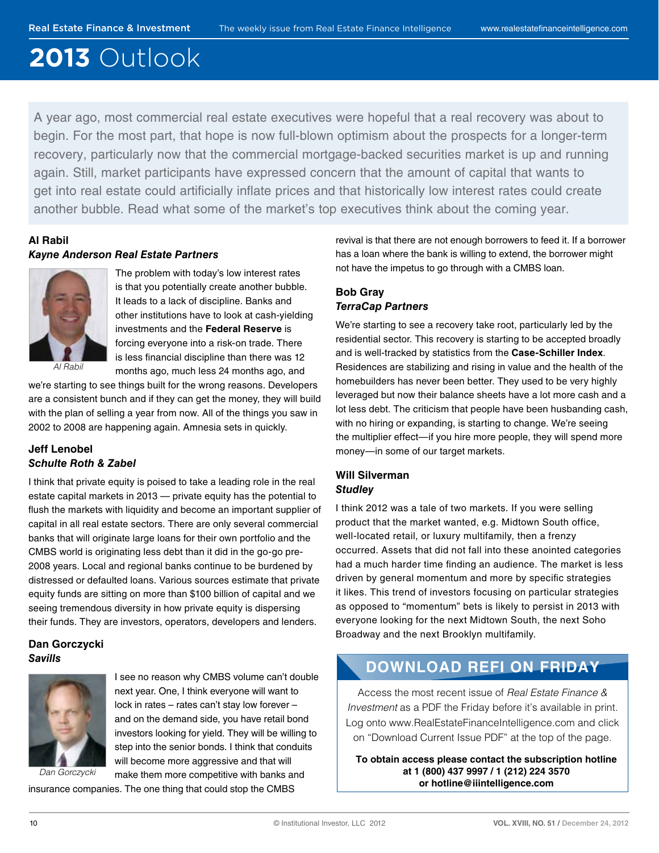# **2013** Outlook

A year ago, most commercial real estate executives were hopeful that a real recovery was about to begin. For the most part, that hope is now full-blown optimism about the prospects for a longer-term recovery, particularly now that the commercial mortgage-backed securities market is up and running again. Still, market participants have expressed concern that the amount of capital that wants to get into real estate could artificially inflate prices and that historically low interest rates could create another bubble. Read what some of the market's top executives think about the coming year.

#### **Al Rabil Kayne Anderson Real Estate Partners**



The problem with today's low interest rates is that you potentially create another bubble. It leads to a lack of discipline. Banks and other institutions have to look at cash-yielding investments and the **Federal Reserve** is forcing everyone into a risk-on trade. There is less financial discipline than there was 12 months ago, much less 24 months ago, and

we're starting to see things built for the wrong reasons. Developers are a consistent bunch and if they can get the money, they will build with the plan of selling a year from now. All of the things you saw in 2002 to 2008 are happening again. Amnesia sets in quickly.

#### **Jeff Lenobel Schulte Roth & Zabel**

I think that private equity is poised to take a leading role in the real estate capital markets in 2013 — private equity has the potential to flush the markets with liquidity and become an important supplier of capital in all real estate sectors. There are only several commercial banks that will originate large loans for their own portfolio and the CMBS world is originating less debt than it did in the go-go pre-2008 years. Local and regional banks continue to be burdened by distressed or defaulted loans. Various sources estimate that private equity funds are sitting on more than \$100 billion of capital and we seeing tremendous diversity in how private equity is dispersing their funds. They are investors, operators, developers and lenders.

#### **Dan Gorczycki Savills**



Dan Gorczycki

I see no reason why CMBS volume can't double next year. One, I think everyone will want to lock in rates – rates can't stay low forever – and on the demand side, you have retail bond investors looking for yield. They will be willing to step into the senior bonds. I think that conduits will become more aggressive and that will make them more competitive with banks and

insurance companies. The one thing that could stop the CMBS

revival is that there are not enough borrowers to feed it. If a borrower has a loan where the bank is willing to extend, the borrower might not have the impetus to go through with a CMBS loan.

#### **Bob Gray TerraCap Partners**

We're starting to see a recovery take root, particularly led by the residential sector. This recovery is starting to be accepted broadly and is well-tracked by statistics from the **Case-Schiller Index**. Residences are stabilizing and rising in value and the health of the homebuilders has never been better. They used to be very highly leveraged but now their balance sheets have a lot more cash and a lot less debt. The criticism that people have been husbanding cash, with no hiring or expanding, is starting to change. We're seeing the multiplier effect—if you hire more people, they will spend more money—in some of our target markets.

#### **Will Silverman Studley**

I think 2012 was a tale of two markets. If you were selling product that the market wanted, e.g. Midtown South office, well-located retail, or luxury multifamily, then a frenzy occurred. Assets that did not fall into these anointed categories had a much harder time finding an audience. The market is less driven by general momentum and more by specific strategies it likes. This trend of investors focusing on particular strategies as opposed to "momentum" bets is likely to persist in 2013 with everyone looking for the next Midtown South, the next Soho Broadway and the next Brooklyn multifamily.

## **DOWNLOAD REFI ON FRIDAY**

Access the most recent issue of Real Estate Finance & Investment as a PDF the Friday before it's available in print. Log onto www.RealEstateFinanceIntelligence.com and click on "Download Current Issue PDF" at the top of the page.

**To obtain access please contact the subscription hotline at 1 (800) 437 9997 / 1 (212) 224 3570 or hotline@iiintelligence.com**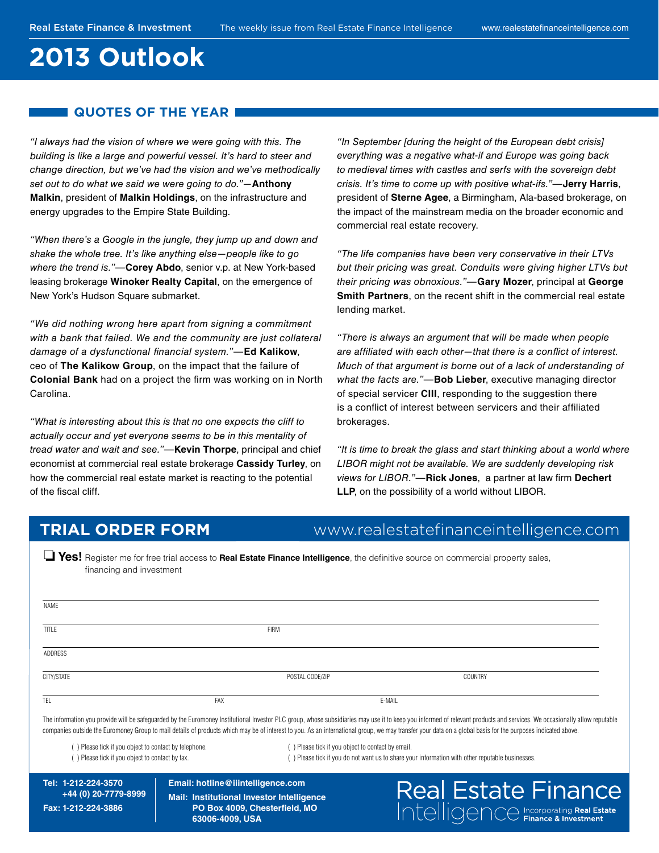## **2013 Outlook**

#### **QUOTES OF THE YEAR**

"I always had the vision of where we were going with this. The building is like a large and powerful vessel. It's hard to steer and change direction, but we've had the vision and we've methodically set out to do what we said we were going to do."—**Anthony Malkin**, president of **Malkin Holdings**, on the infrastructure and energy upgrades to the Empire State Building.

"When there's a Google in the jungle, they jump up and down and shake the whole tree. It's like anything else—people like to go where the trend is."—**Corey Abdo**, senior v.p. at New York-based leasing brokerage **Winoker Realty Capital**, on the emergence of New York's Hudson Square submarket.

"We did nothing wrong here apart from signing a commitment with a bank that failed. We and the community are just collateral damage of a dysfunctional financial system."-Ed Kalikow, ceo of **The Kalikow Group**, on the impact that the failure of **Colonial Bank** had on a project the firm was working on in North Carolina.

"What is interesting about this is that no one expects the cliff to actually occur and yet everyone seems to be in this mentality of tread water and wait and see."—**Kevin Thorpe**, principal and chief economist at commercial real estate brokerage **Cassidy Turley**, on how the commercial real estate market is reacting to the potential of the fiscal cliff.

"In September [during the height of the European debt crisis] everything was a negative what-if and Europe was going back to medieval times with castles and serfs with the sovereign debt crisis. It's time to come up with positive what-ifs."—**Jerry Harris**, president of **Sterne Agee**, a Birmingham, Ala-based brokerage, on the impact of the mainstream media on the broader economic and commercial real estate recovery.

"The life companies have been very conservative in their LTVs but their pricing was great. Conduits were giving higher LTVs but their pricing was obnoxious."—**Gary Mozer**, principal at **George Smith Partners**, on the recent shift in the commercial real estate lending market.

"There is always an argument that will be made when people are affiliated with each other-that there is a conflict of interest. Much of that argument is borne out of a lack of understanding of what the facts are."—**Bob Lieber**, executive managing director of special servicer **CIII**, responding to the suggestion there is a conflict of interest between servicers and their affiliated brokerages.

"It is time to break the glass and start thinking about a world where LIBOR might not be available. We are suddenly developing risk views for LIBOR."-Rick Jones, a partner at law firm Dechert **LLP**, on the possibility of a world without LIBOR.

Real Estate Finance

### **TRIAL ORDER FORM** www.realestatefinanceintelligence.com

**Tes!** Register me for free trial access to **Real Estate Finance Intelligence**, the definitive source on commercial property sales, financing and investment

| NAME       |                 |        |         |
|------------|-----------------|--------|---------|
| TITLE      | <b>FIRM</b>     |        |         |
| ADDRESS    |                 |        |         |
| CITY/STATE | POSTAL CODE/ZIP |        | COUNTRY |
| TEL        | FAX             | E-MAIL |         |

The information you provide will be safeguarded by the Euromoney Institutional Investor PLC group, whose subsidiaries may use it to keep you informed of relevant products and services. We occasionally allow reputable companies outside the Euromoney Group to mail details of products which may be of interest to you. As an international group, we may transfer your data on a global basis for the purposes indicated above.

( ) Please tick if you object to contact by telephone. ( ) Please tick if you object to contact by email.

( ) Please tick if you object to contact by fax. ( ) Please tick if you do not want us to share your information with other reputable businesses.

**Tel: 1-212-224-3570 +44 (0) 20-7779-8999 Fax: 1-212-224-3886**

**Email: hotline@iiintelligence.com Mail: Institutional Investor Intelligence PO Box 4009, Chester!eld, MO 63006-4009, USA**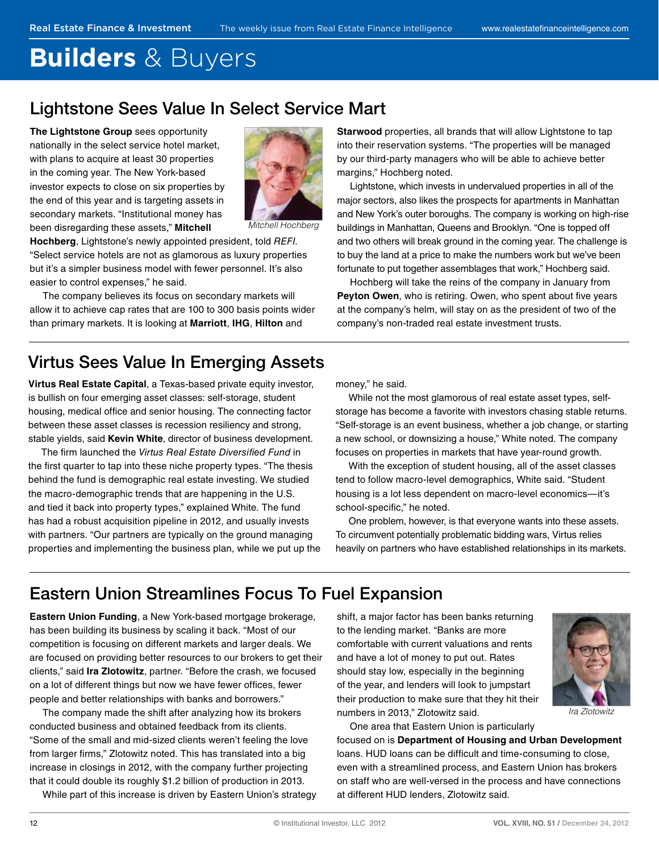# <span id="page-11-0"></span>**Builders** & Buyers

## Lightstone Sees Value In Select Service Mart

**The Lightstone Group** sees opportunity nationally in the select service hotel market, with plans to acquire at least 30 properties in the coming year. The New York-based investor expects to close on six properties by the end of this year and is targeting assets in secondary markets. "Institutional money has been disregarding these assets," **Mitchell**



Mitchell Hochberg

**Hochberg**, Lightstone's newly appointed president, told REFI. "Select service hotels are not as glamorous as luxury properties but it's a simpler business model with fewer personnel. It's also easier to control expenses," he said.

The company believes its focus on secondary markets will allow it to achieve cap rates that are 100 to 300 basis points wider than primary markets. It is looking at **Marriott**, **IHG**, **Hilton** and

Virtus Sees Value In Emerging Assets

**Virtus Real Estate Capital**, a Texas-based private equity investor, is bullish on four emerging asset classes: self-storage, student housing, medical office and senior housing. The connecting factor between these asset classes is recession resiliency and strong, stable yields, said **Kevin White**, director of business development.

The firm launched the Virtus Real Estate Diversified Fund in the first quarter to tap into these niche property types. "The thesis behind the fund is demographic real estate investing. We studied the macro-demographic trends that are happening in the U.S. and tied it back into property types," explained White. The fund has had a robust acquisition pipeline in 2012, and usually invests with partners. "Our partners are typically on the ground managing properties and implementing the business plan, while we put up the **Starwood** properties, all brands that will allow Lightstone to tap into their reservation systems. "The properties will be managed by our third-party managers who will be able to achieve better margins," Hochberg noted.

Lightstone, which invests in undervalued properties in all of the major sectors, also likes the prospects for apartments in Manhattan and New York's outer boroughs. The company is working on high-rise buildings in Manhattan, Queens and Brooklyn. "One is topped off and two others will break ground in the coming year. The challenge is to buy the land at a price to make the numbers work but we've been fortunate to put together assemblages that work," Hochberg said.

Hochberg will take the reins of the company in January from Peyton Owen, who is retiring. Owen, who spent about five years at the company's helm, will stay on as the president of two of the company's non-traded real estate investment trusts.

money," he said.

While not the most glamorous of real estate asset types, selfstorage has become a favorite with investors chasing stable returns. "Self-storage is an event business, whether a job change, or starting a new school, or downsizing a house," White noted. The company focuses on properties in markets that have year-round growth.

With the exception of student housing, all of the asset classes tend to follow macro-level demographics, White said. "Student housing is a lot less dependent on macro-level economics—it's school-specific," he noted.

One problem, however, is that everyone wants into these assets. To circumvent potentially problematic bidding wars, Virtus relies heavily on partners who have established relationships in its markets.

## Eastern Union Streamlines Focus To Fuel Expansion

**Eastern Union Funding**, a New York-based mortgage brokerage, has been building its business by scaling it back. "Most of our competition is focusing on different markets and larger deals. We are focused on providing better resources to our brokers to get their clients," said **Ira Zlotowitz**, partner. "Before the crash, we focused on a lot of different things but now we have fewer offices, fewer people and better relationships with banks and borrowers."

The company made the shift after analyzing how its brokers conducted business and obtained feedback from its clients. "Some of the small and mid-sized clients weren't feeling the love from larger firms," Zlotowitz noted. This has translated into a big increase in closings in 2012, with the company further projecting that it could double its roughly \$1.2 billion of production in 2013.

While part of this increase is driven by Eastern Union's strategy

shift, a major factor has been banks returning to the lending market. "Banks are more comfortable with current valuations and rents and have a lot of money to put out. Rates should stay low, especially in the beginning of the year, and lenders will look to jumpstart their production to make sure that they hit their numbers in 2013," Zlotowitz said.



Ira Zlotowitz

One area that Eastern Union is particularly

focused on is **Department of Housing and Urban Development** loans. HUD loans can be difficult and time-consuming to close, even with a streamlined process, and Eastern Union has brokers on staff who are well-versed in the process and have connections at different HUD lenders, Zlotowitz said.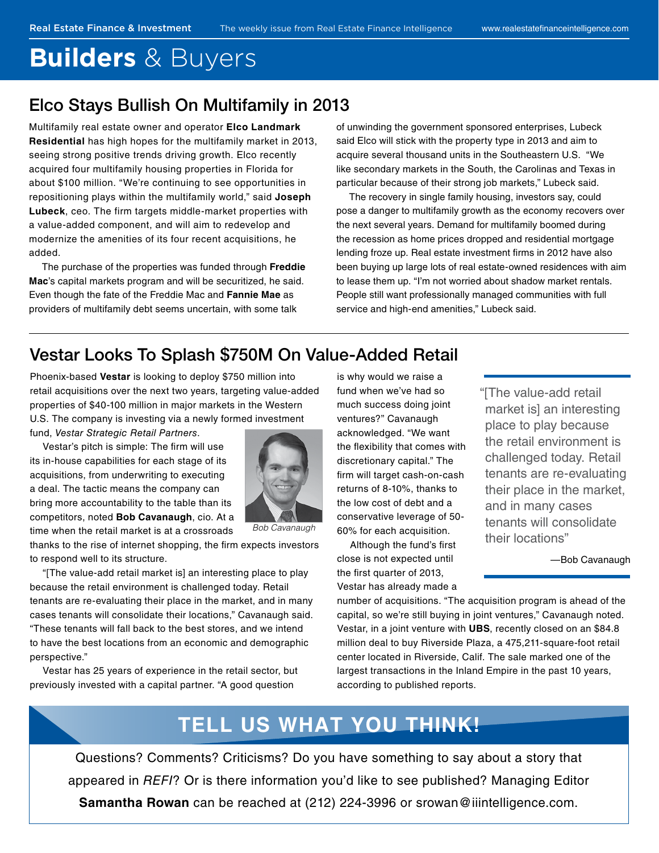## **Builders** & Buyers

### Elco Stays Bullish On Multifamily in 2013

Multifamily real estate owner and operator **Elco Landmark Residential** has high hopes for the multifamily market in 2013, seeing strong positive trends driving growth. Elco recently acquired four multifamily housing properties in Florida for about \$100 million. "We're continuing to see opportunities in repositioning plays within the multifamily world," said **Joseph Lubeck**, ceo. The firm targets middle-market properties with a value-added component, and will aim to redevelop and modernize the amenities of its four recent acquisitions, he added.

The purchase of the properties was funded through **Freddie Mac**'s capital markets program and will be securitized, he said. Even though the fate of the Freddie Mac and **Fannie Mae** as providers of multifamily debt seems uncertain, with some talk

of unwinding the government sponsored enterprises, Lubeck said Elco will stick with the property type in 2013 and aim to acquire several thousand units in the Southeastern U.S. "We like secondary markets in the South, the Carolinas and Texas in particular because of their strong job markets," Lubeck said.

The recovery in single family housing, investors say, could pose a danger to multifamily growth as the economy recovers over the next several years. Demand for multifamily boomed during the recession as home prices dropped and residential mortgage lending froze up. Real estate investment firms in 2012 have also been buying up large lots of real estate-owned residences with aim to lease them up. "I'm not worried about shadow market rentals. People still want professionally managed communities with full service and high-end amenities," Lubeck said.

### Vestar Looks To Splash \$750M On Value-Added Retail

Phoenix-based **Vestar** is looking to deploy \$750 million into retail acquisitions over the next two years, targeting value-added properties of \$40-100 million in major markets in the Western U.S. The company is investing via a newly formed investment fund, Vestar Strategic Retail Partners.

Vestar's pitch is simple: The firm will use its in-house capabilities for each stage of its acquisitions, from underwriting to executing a deal. The tactic means the company can bring more accountability to the table than its competitors, noted **Bob Cavanaugh**, cio. At a time when the retail market is at a crossroads



Bob Cavanaugh

thanks to the rise of internet shopping, the firm expects investors to respond well to its structure.

"[The value-add retail market is] an interesting place to play because the retail environment is challenged today. Retail tenants are re-evaluating their place in the market, and in many cases tenants will consolidate their locations," Cavanaugh said. "These tenants will fall back to the best stores, and we intend to have the best locations from an economic and demographic perspective."

Vestar has 25 years of experience in the retail sector, but previously invested with a capital partner. "A good question

is why would we raise a fund when we've had so much success doing joint ventures?" Cavanaugh acknowledged. "We want the flexibility that comes with discretionary capital." The firm will target cash-on-cash returns of 8-10%, thanks to the low cost of debt and a conservative leverage of 50- 60% for each acquisition.

Although the fund's first close is not expected until the first quarter of 2013, Vestar has already made a "[The value-add retail market is] an interesting place to play because the retail environment is challenged today. Retail tenants are re-evaluating their place in the market, and in many cases tenants will consolidate their locations"

—Bob Cavanaugh

number of acquisitions. "The acquisition program is ahead of the capital, so we're still buying in joint ventures," Cavanaugh noted. Vestar, in a joint venture with **UBS**, recently closed on an \$84.8 million deal to buy Riverside Plaza, a 475,211-square-foot retail center located in Riverside, Calif. The sale marked one of the largest transactions in the Inland Empire in the past 10 years, according to published reports.

## **TELL US WHAT YOU THINK!**

Questions? Comments? Criticisms? Do you have something to say about a story that appeared in REFI? Or is there information you'd like to see published? Managing Editor **Samantha Rowan** can be reached at (212) 224-3996 or srowan@iiintelligence.com.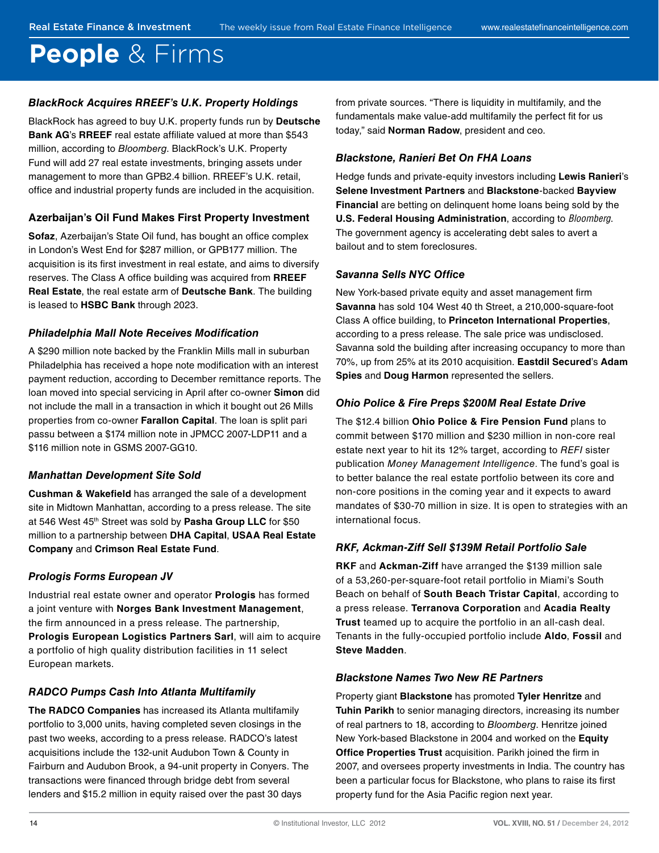## **People** & Firms

#### **BlackRock Acquires RREEF's U.K. Property Holdings**

BlackRock has agreed to buy U.K. property funds run by **Deutsche Bank AG**'s **RREEF** real estate affiliate valued at more than \$543 million, according to Bloomberg. BlackRock's U.K. Property Fund will add 27 real estate investments, bringing assets under management to more than GPB2.4 billion. RREEF's U.K. retail, office and industrial property funds are included in the acquisition.

#### **Azerbaijan's Oil Fund Makes First Property Investment**

**Sofaz**, Azerbaijan's State Oil fund, has bought an office complex in London's West End for \$287 million, or GPB177 million. The acquisition is its first investment in real estate, and aims to diversify reserves. The Class A office building was acquired from **RREEF Real Estate**, the real estate arm of **Deutsche Bank**. The building is leased to **HSBC Bank** through 2023.

#### **Philadelphia Mall Note Receives Modification**

A \$290 million note backed by the Franklin Mills mall in suburban Philadelphia has received a hope note modification with an interest payment reduction, according to December remittance reports. The loan moved into special servicing in April after co-owner **Simon** did not include the mall in a transaction in which it bought out 26 Mills properties from co-owner **Farallon Capital**. The loan is split pari passu between a \$174 million note in JPMCC 2007-LDP11 and a \$116 million note in GSMS 2007-GG10.

#### **Manhattan Development Site Sold**

**Cushman & Wake!eld** has arranged the sale of a development site in Midtown Manhattan, according to a press release. The site at 546 West 45th Street was sold by **Pasha Group LLC** for \$50 million to a partnership between **DHA Capital**, **USAA Real Estate Company** and **Crimson Real Estate Fund**.

#### **Prologis Forms European JV**

Industrial real estate owner and operator **Prologis** has formed a joint venture with **Norges Bank Investment Management**, the firm announced in a press release. The partnership, **Prologis European Logistics Partners Sarl**, will aim to acquire a portfolio of high quality distribution facilities in 11 select European markets.

### **RADCO Pumps Cash Into Atlanta Multifamily**

**The RADCO Companies** has increased its Atlanta multifamily portfolio to 3,000 units, having completed seven closings in the past two weeks, according to a press release. RADCO's latest acquisitions include the 132-unit Audubon Town & County in Fairburn and Audubon Brook, a 94-unit property in Conyers. The transactions were financed through bridge debt from several lenders and \$15.2 million in equity raised over the past 30 days

from private sources. "There is liquidity in multifamily, and the fundamentals make value-add multifamily the perfect fit for us today," said **Norman Radow**, president and ceo.

#### **Blackstone, Ranieri Bet On FHA Loans**

Hedge funds and private-equity investors including **Lewis Ranieri**'s **Selene Investment Partners** and **Blackstone**-backed **Bayview Financial** are betting on delinquent home loans being sold by the **U.S. Federal Housing Administration**, according to Bloomberg. The government agency is accelerating debt sales to avert a bailout and to stem foreclosures.

#### **Savanna Sells NYC Office**

New York-based private equity and asset management firm **Savanna** has sold 104 West 40 th Street, a 210,000-square-foot Class A office building, to **Princeton International Properties**, according to a press release. The sale price was undisclosed. Savanna sold the building after increasing occupancy to more than 70%, up from 25% at its 2010 acquisition. **Eastdil Secured**'s **Adam Spies** and **Doug Harmon** represented the sellers.

#### **Ohio Police & Fire Preps \$200M Real Estate Drive**

The \$12.4 billion **Ohio Police & Fire Pension Fund** plans to commit between \$170 million and \$230 million in non-core real estate next year to hit its 12% target, according to REFI sister publication Money Management Intelligence. The fund's goal is to better balance the real estate portfolio between its core and non-core positions in the coming year and it expects to award mandates of \$30-70 million in size. It is open to strategies with an international focus.

#### **RKF, Ackman-Ziff Sell \$139M Retail Portfolio Sale**

**RKF** and **Ackman-Ziff** have arranged the \$139 million sale of a 53,260-per-square-foot retail portfolio in Miami's South Beach on behalf of **South Beach Tristar Capital**, according to a press release. **Terranova Corporation** and **Acadia Realty Trust** teamed up to acquire the portfolio in an all-cash deal. Tenants in the fully-occupied portfolio include **Aldo**, **Fossil** and **Steve Madden**.

#### **Blackstone Names Two New RE Partners**

Property giant **Blackstone** has promoted **Tyler Henritze** and **Tuhin Parikh** to senior managing directors, increasing its number of real partners to 18, according to Bloomberg. Henritze joined New York-based Blackstone in 2004 and worked on the **Equity Office Properties Trust** acquisition. Parikh joined the firm in 2007, and oversees property investments in India. The country has been a particular focus for Blackstone, who plans to raise its first property fund for the Asia Pacific region next year.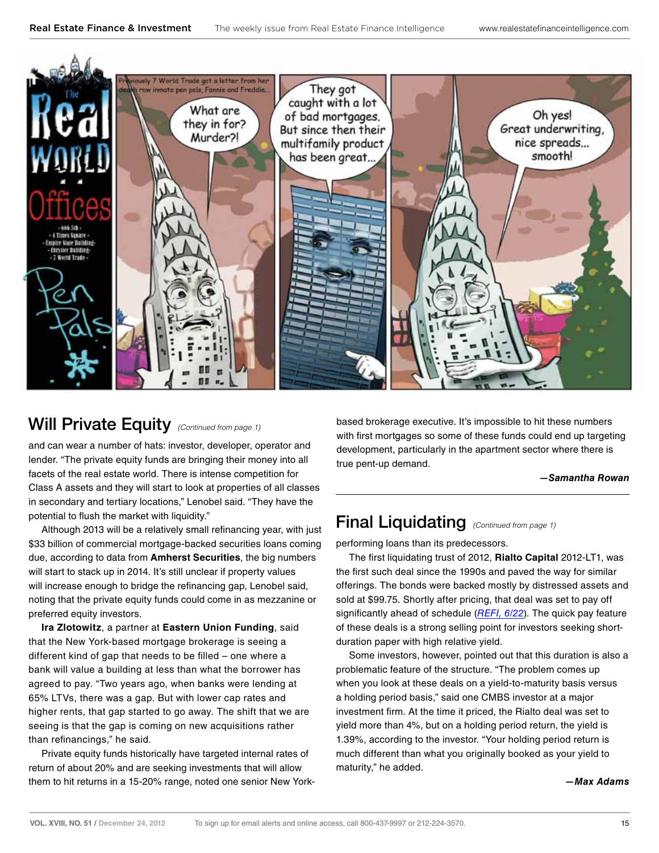<span id="page-14-0"></span>

and can wear a number of hats: investor, developer, operator and lender. "The private equity funds are bringing their money into all facets of the real estate world. There is intense competition for Class A assets and they will start to look at properties of all classes in secondary and tertiary locations," Lenobel said. "They have the potential to flush the market with liquidity."

Although 2013 will be a relatively small refinancing year, with just \$33 billion of commercial mortgage-backed securities loans coming due, according to data from **Amherst Securities**, the big numbers will start to stack up in 2014. It's still unclear if property values will increase enough to bridge the refinancing gap, Lenobel said, noting that the private equity funds could come in as mezzanine or preferred equity investors.

**Ira Zlotowitz**, a partner at **Eastern Union Funding**, said that the New York-based mortgage brokerage is seeing a different kind of gap that needs to be filled  $-$  one where a bank will value a building at less than what the borrower has agreed to pay. "Two years ago, when banks were lending at 65% LTVs, there was a gap. But with lower cap rates and higher rents, that gap started to go away. The shift that we are seeing is that the gap is coming on new acquisitions rather than refinancings," he said.

Private equity funds historically have targeted internal rates of return of about 20% and are seeking investments that will allow them to hit returns in a 15-20% range, noted one senior New York-

Will Private Equity (Continued from page 1) based brokerage executive. It's impossible to hit these numbers with first mortgages so some of these funds could end up targeting development, particularly in the apartment sector where there is true pent-up demand.

#### **—Samantha Rowan**

## Final Liquidating (Continued from page 1)

performing loans than its predecessors.

The first liquidating trust of 2012, Rialto Capital 2012-LT1, was the first such deal since the 1990s and paved the way for similar offerings. The bonds were backed mostly by distressed assets and sold at \$99.75. Shortly after pricing, that deal was set to pay off significantly ahead of schedule  $(REFI, 6/22)$  $(REFI, 6/22)$  $(REFI, 6/22)$ . The quick pay feature of these deals is a strong selling point for investors seeking shortduration paper with high relative yield.

Some investors, however, pointed out that this duration is also a problematic feature of the structure. "The problem comes up when you look at these deals on a yield-to-maturity basis versus a holding period basis," said one CMBS investor at a major investment firm. At the time it priced, the Rialto deal was set to yield more than 4%, but on a holding period return, the yield is 1.39%, according to the investor. "Your holding period return is much different than what you originally booked as your yield to maturity," he added.

#### **—Max Adams**